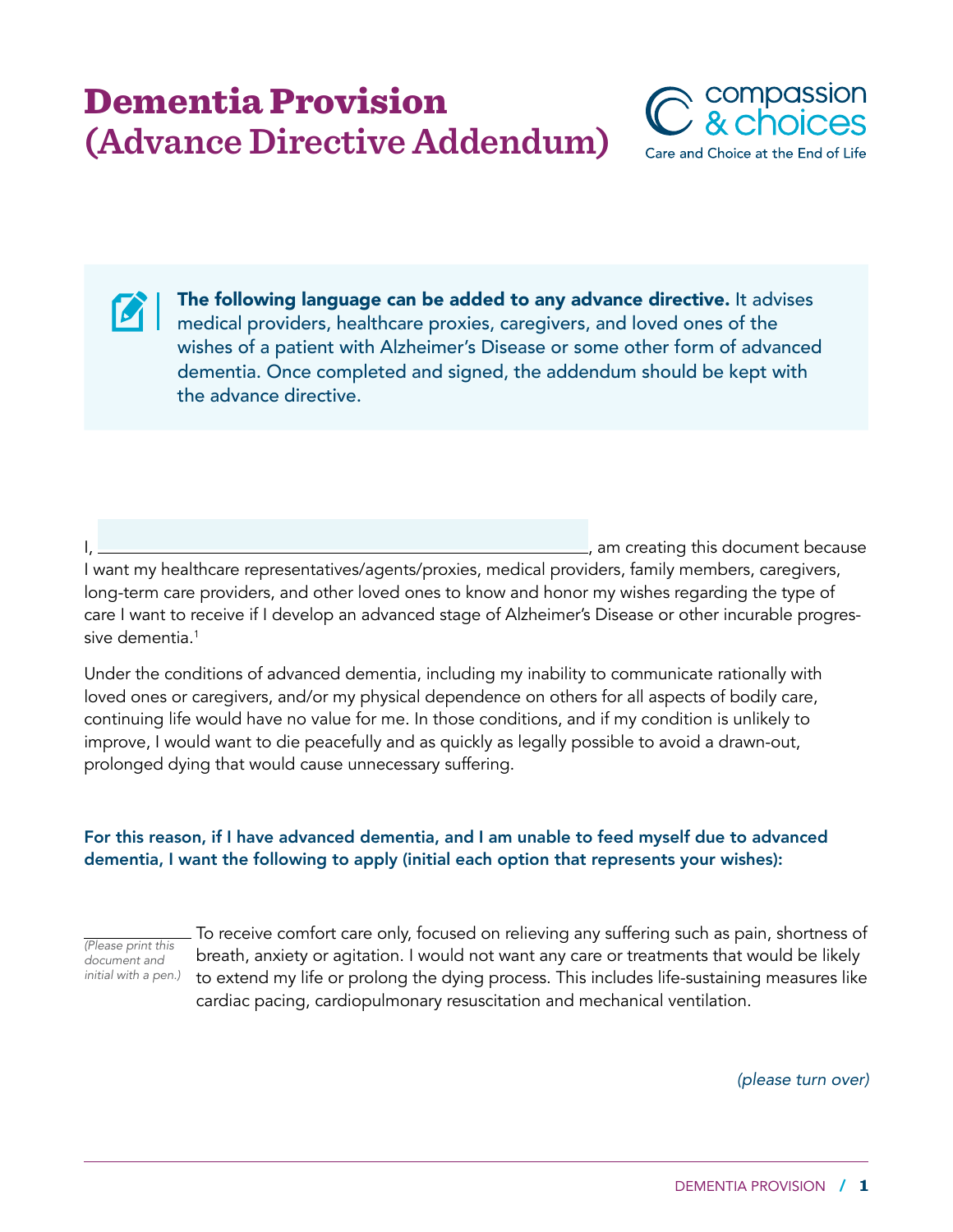## Dementia Provision **(Advance Directive Addendum)**



The following language can be added to any advance directive. It advises medical providers, healthcare proxies, caregivers, and loved ones of the wishes of a patient with Alzheimer's Disease or some other form of advanced dementia. Once completed and signed, the addendum should be kept with the advance directive.

I, am creating this document because

I want my healthcare representatives/agents/proxies, medical providers, family members, caregivers, long-term care providers, and other loved ones to know and honor my wishes regarding the type of care I want to receive if I develop an advanced stage of Alzheimer's Disease or other incurable progressive dementia.<sup>1</sup>

Under the conditions of advanced dementia, including my inability to communicate rationally with loved ones or caregivers, and/or my physical dependence on others for all aspects of bodily care, continuing life would have no value for me. In those conditions, and if my condition is unlikely to improve, I would want to die peacefully and as quickly as legally possible to avoid a drawn-out, prolonged dying that would cause unnecessary suffering.

## For this reason, if I have advanced dementia, and I am unable to feed myself due to advanced dementia, I want the following to apply (initial each option that represents your wishes):

*(Please print this document and initial with a pen.)*

 $\boldsymbol{\mathcal{C}}$ 

 To receive comfort care only, focused on relieving any suffering such as pain, shortness of breath, anxiety or agitation. I would not want any care or treatments that would be likely to extend my life or prolong the dying process. This includes life-sustaining measures like cardiac pacing, cardiopulmonary resuscitation and mechanical ventilation.

*(please turn over)*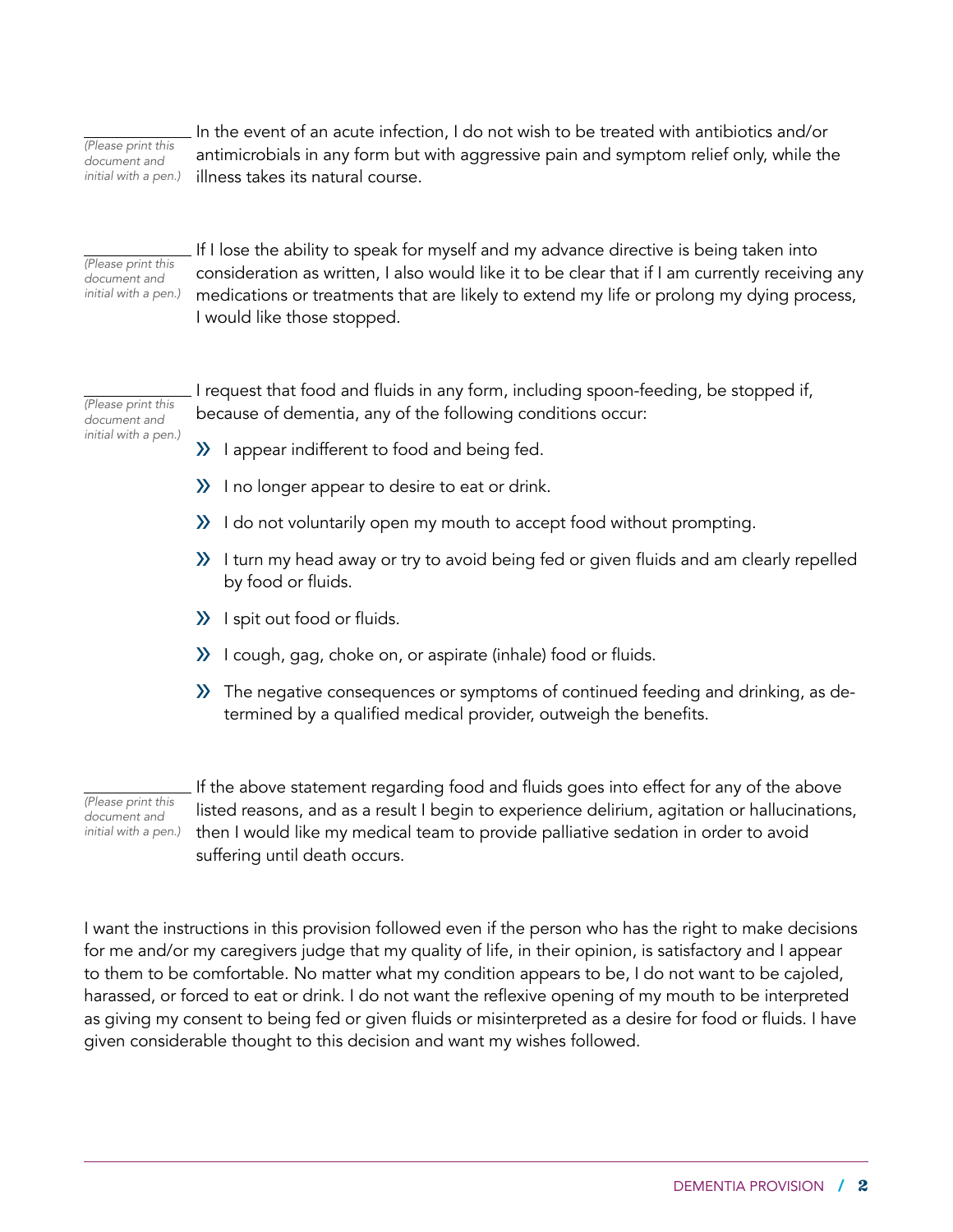*(Please print this document and initial with a pen.)*  In the event of an acute infection, I do not wish to be treated with antibiotics and/or antimicrobials in any form but with aggressive pain and symptom relief only, while the illness takes its natural course.

*(Please print this document and initial with a pen.)*

 If I lose the ability to speak for myself and my advance directive is being taken into consideration as written, I also would like it to be clear that if I am currently receiving any medications or treatments that are likely to extend my life or prolong my dying process, I would like those stopped.

*(Please print this document and initial with a pen.)*  I request that food and fluids in any form, including spoon-feeding, be stopped if, because of dementia, any of the following conditions occur:

- » I appear indifferent to food and being fed.
- » I no longer appear to desire to eat or drink.
- » I do not voluntarily open my mouth to accept food without prompting.
- » I turn my head away or try to avoid being fed or given fluids and am clearly repelled by food or fluids.
- » I spit out food or fluids.
- » I cough, gag, choke on, or aspirate (inhale) food or fluids.
- » The negative consequences or symptoms of continued feeding and drinking, as determined by a qualified medical provider, outweigh the benefits.

*(Please print this document and initial with a pen.)*  If the above statement regarding food and fluids goes into effect for any of the above listed reasons, and as a result I begin to experience delirium, agitation or hallucinations, then I would like my medical team to provide palliative sedation in order to avoid suffering until death occurs.

I want the instructions in this provision followed even if the person who has the right to make decisions for me and/or my caregivers judge that my quality of life, in their opinion, is satisfactory and I appear to them to be comfortable. No matter what my condition appears to be, I do not want to be cajoled, harassed, or forced to eat or drink. I do not want the reflexive opening of my mouth to be interpreted as giving my consent to being fed or given fluids or misinterpreted as a desire for food or fluids. I have given considerable thought to this decision and want my wishes followed.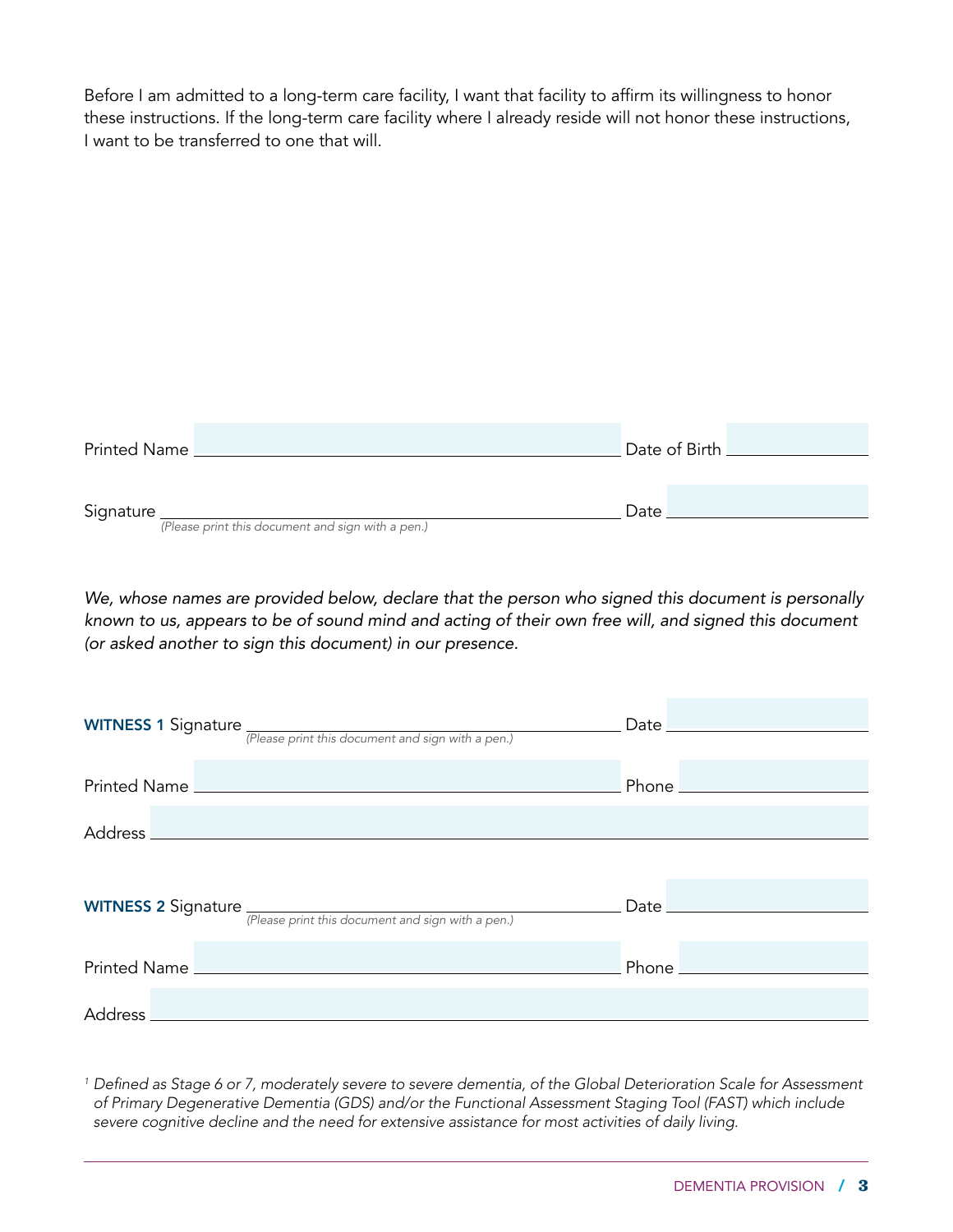Before I am admitted to a long-term care facility, I want that facility to affirm its willingness to honor these instructions. If the long-term care facility where I already reside will not honor these instructions, I want to be transferred to one that will.

| Printed Name                                      | Date of Birth __________ |
|---------------------------------------------------|--------------------------|
|                                                   |                          |
| Signature                                         | Date                     |
| (Please print this document and sign with a pen.) |                          |

We, whose names are provided below, declare that the person who signed this document is personally *known to us, appears to be of sound mind and acting of their own free will, and signed this document (or asked another to sign this document) in our presence.* 

| <b>WITNESS 1 Signature</b> <i>(Please print this document and sign with a pen.)</i>                                                                                                                                                  | Data                                |
|--------------------------------------------------------------------------------------------------------------------------------------------------------------------------------------------------------------------------------------|-------------------------------------|
|                                                                                                                                                                                                                                      |                                     |
| Printed Name <u>New York and State and State and State and State and State and State and State and State and State and State and State and State and State and State and State and State and State and State and State and State</u> | Phone <u>______________________</u> |
|                                                                                                                                                                                                                                      |                                     |
|                                                                                                                                                                                                                                      |                                     |
| <b>WITNESS 2 Signature</b> $\frac{P}{P}\left(\text{Phase print this document and sign with a pen.}\right)$                                                                                                                           |                                     |
|                                                                                                                                                                                                                                      |                                     |
|                                                                                                                                                                                                                                      | Phone <u>______________________</u> |
|                                                                                                                                                                                                                                      |                                     |
|                                                                                                                                                                                                                                      |                                     |

*1* Defined as Stage 6 or 7, moderately severe to severe dementia, of the Global Deterioration Scale for Assessment of Primary Degenerative Dementia (GDS) and/or the Functional Assessment Staging Tool (FAST) which include severe cognitive decline and the need for extensive assistance for most activities of daily living.